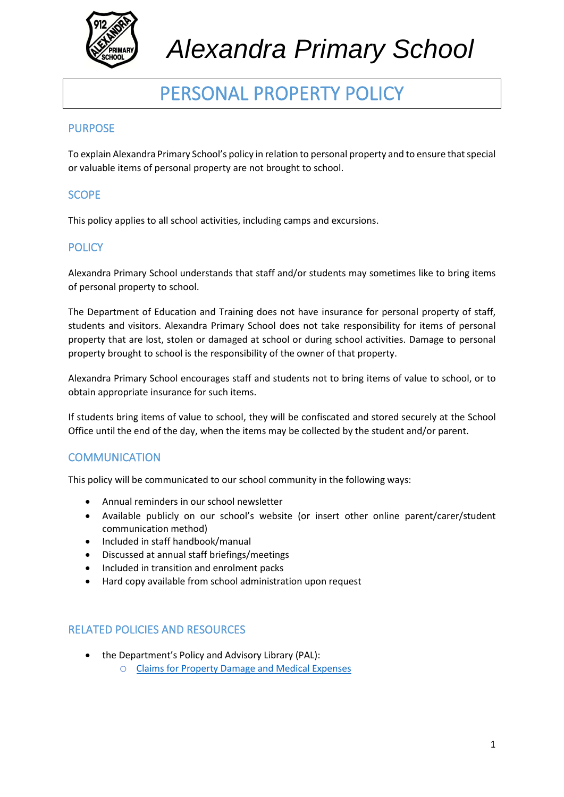

## *Alexandra Primary School*

### PERSONAL PROPERTY POLICY

#### PURPOSE

To explain Alexandra Primary School's policy in relation to personal property and to ensure that special or valuable items of personal property are not brought to school.

#### SCOPE

This policy applies to all school activities, including camps and excursions.

#### **POLICY**

Alexandra Primary School understands that staff and/or students may sometimes like to bring items of personal property to school.

The Department of Education and Training does not have insurance for personal property of staff, students and visitors. Alexandra Primary School does not take responsibility for items of personal property that are lost, stolen or damaged at school or during school activities. Damage to personal property brought to school is the responsibility of the owner of that property.

Alexandra Primary School encourages staff and students not to bring items of value to school, or to obtain appropriate insurance for such items.

If students bring items of value to school, they will be confiscated and stored securely at the School Office until the end of the day, when the items may be collected by the student and/or parent.

#### **COMMUNICATION**

This policy will be communicated to our school community in the following ways:

- Annual reminders in our school newsletter
- Available publicly on our school's website (or insert other online parent/carer/student communication method)
- Included in staff handbook/manual
- Discussed at annual staff briefings/meetings
- Included in transition and enrolment packs
- Hard copy available from school administration upon request

#### RELATED POLICIES AND RESOURCES

- the Department's Policy and Advisory Library (PAL):
	- o [Claims for Property Damage and Medical Expenses](https://www2.education.vic.gov.au/pal/claims-property-damage-and-medical-expenses/policy)